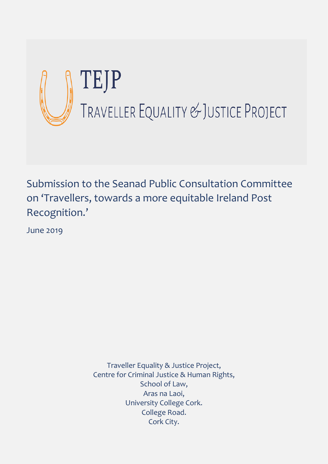

Submission to the Seanad Public Consultation Committee on 'Travellers, towards a more equitable Ireland Post Recognition.'

June 2019

Traveller Equality & Justice Project, Centre for Criminal Justice & Human Rights, School of Law, Aras na Laoi, University College Cork. College Road. Cork City.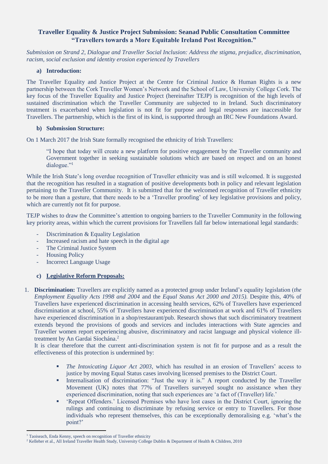# **Traveller Equality & Justice Project Submission: Seanad Public Consultation Committee "Travellers towards a More Equitable Ireland Post Recognition."**

*Submission on Strand 2, Dialogue and Traveller Social Inclusion: Address the stigma, prejudice, discrimination, racism, social exclusion and identity erosion experienced by Travellers*

### **a) Introduction:**

The Traveller Equality and Justice Project at the Centre for Criminal Justice & Human Rights is a new partnership between the Cork Traveller Women's Network and the School of Law, University College Cork. The key focus of the Traveller Equality and Justice Project (hereinafter TEJP) is recognition of the high levels of sustained discrimination which the Traveller Community are subjected to in Ireland. Such discriminatory treatment is exacerbated when legislation is not fit for purpose and legal responses are inaccessible for Travellers. The partnership, which is the first of its kind, is supported through an IRC New Foundations Award.

## **b) Submission Structure:**

On 1 March 2017 the Irish State formally recognised the ethnicity of Irish Travellers:

"I hope that today will create a new platform for positive engagement by the Traveller community and Government together in seeking sustainable solutions which are based on respect and on an honest dialogue."<sup>1</sup>

While the Irish State's long overdue recognition of Traveller ethnicity was and is still welcomed. It is suggested that the recognition has resulted in a stagnation of positive developments both in policy and relevant legislation pertaining to the Traveller Community. It is submitted that for the welcomed recognition of Traveller ethnicity to be more than a gesture, that there needs to be a 'Traveller proofing' of key legislative provisions and policy, which are currently not fit for purpose.

TEJP wishes to draw the Committee's attention to ongoing barriers to the Traveller Community in the following key priority areas, within which the current provisions for Travellers fall far below international legal standards:

- Discrimination & Equality Legislation
- Increased racism and hate speech in the digital age
- The Criminal Justice System
- **Housing Policy**
- Incorrect Language Usage

## **c) Legislative Reform Proposals:**

1. **Discrimination:** Travellers are explicitly named as a protected group under Ireland's equality legislation (*the Employment Equality Acts 1998 and 2004* and the *Equal Status Act 2000 and 2015).* Despite this, 40% of Travellers have experienced discrimination in accessing health services, 62% of Travellers have experienced discrimination at school, 55% of Travellers have experienced discrimination at work and 61% of Travellers have experienced discrimination in a shop/restaurant/pub. Research shows that such discriminatory treatment extends beyond the provisions of goods and services and includes interactions with State agencies and Traveller women report experiencing abusive, discriminatory and racist language and physical violence illtreatment by An Gardai Síochána.<sup>2</sup>

It is clear therefore that the current anti-discrimination system is not fit for purpose and as a result the effectiveness of this protection is undermined by:

- *The Intoxicating Liquor Act 2003*, which has resulted in an erosion of Travellers' access to justice by moving Equal Status cases involving licensed premises to the District Court.
- Internalisation of discrimination: "Just the way it is." A report conducted by the Traveller Movement (UK) notes that 77% of Travellers surveyed sought no assistance when they experienced discrimination, noting that such experiences are 'a fact of (Traveller) life.'
- 'Repeat Offenders.' Licensed Premises who have lost cases in the District Court, ignoring the rulings and continuing to discriminate by refusing service or entry to Travellers. For those individuals who represent themselves, this can be exceptionally demoralising e.g. 'what's the point?'

 $\overline{a}$ 

<sup>&</sup>lt;sup>1</sup> Taoiseach, Enda Kenny, speech on recognition of Traveller ethnicity

<sup>2</sup> Kelleher et al., All Ireland Traveller Health Study, University College Dublin & Department of Health & Children, 2010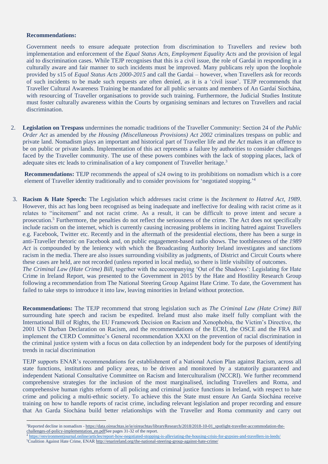#### **Recommendations:**

 $\overline{a}$ 

Government needs to ensure adequate protection from discrimination to Travellers and review both implementation and enforcement of the *Equal Status Acts, Employment Equality Acts* and the provision of legal aid to discrimination cases. While TEJP recognises that this is a civil issue, the role of Gardai in responding in a culturally aware and fair manner to such incidents must be improved. Many publicans rely upon the loophole provided by s15 of *Equal Status Acts 2000-2015* and call the Gardai – however, when Travellers ask for records of such incidents to be made such requests are often denied, as it is a 'civil issue'. TEJP recommends that Traveller Cultural Awareness Training be mandated for all public servants and members of An Gardaí Síochána, with resourcing of Traveller organisations to provide such training. Furthermore, the Judicial Studies Institute must foster culturally awareness within the Courts by organising seminars and lectures on Travellers and racial discrimination.

2. **Legislation on Trespass** undermines the nomadic traditions of the Traveller Community: Section 24 of *the Public Order Act* as amended by *the Housing (Miscellaneous Provisions) Act 2002* criminalizes trespass on public and private land. Nomadism plays an important and historical part of Traveller life and *the Act* makes it an offence to be on public or private lands. Implementation of this act represents a failure by authorities to consider challenges faced by the Traveller community. The use of these powers combines with the lack of stopping places, lack of adequate sites etc leads to criminalisation of a key component of Traveller heritage.<sup>3</sup>

**Recommendations:** TEJP recommends the appeal of s24 owing to its prohibitions on nomadism which is a core element of Traveller identity traditionally and to consider provisions for 'negotiated stopping.<sup>24</sup>

3. **Racism & Hate Speech:** The Legislation which addresses racist crime is the *Incitement to Hatred Act, 1989*. However, this act has long been recognised as being inadequate and ineffective for dealing with racist crime as it relates to "incitement" and not racist crime. As a result, it can be difficult to prove intent and secure a prosecution.<sup>5</sup> Furthermore, the penalties do not reflect the seriousness of the crime. The Act does not specifically include racism on the internet, which is currently causing increasing problems in inciting hatred against Travellers e.g. Facebook, Twitter etc. Recently and in the aftermath of the presidential elections, there has been a surge in anti-Traveller rhetoric on Facebook and, on public engagement-based radio shows. The toothlessness of the *1989 Act* is compounded by the leniency with which the Broadcasting Authority Ireland investigates and sanctions racism in the media. There are also issues surrounding visibility as judgments, of District and Circuit Courts where these cases are held, are not recorded (unless reported in local media), so there is little visibility of outcomes. *The Criminal Law (Hate Crime) Bill*, together with the accompanying 'Out of the Shadows': Legislating for Hate Crime in Ireland Report, was presented to the Government in 2015 by the Hate and Hostility Research Group following a recommendation from The National Steering Group Against Hate Crime. To date, the Government has failed to take steps to introduce it into law, leaving minorities in Ireland without protection.

**Recommendations:** The TEJP recommend that strong legislation such as *The Criminal Law (Hate Crime) Bill* surrounding hate speech and racism be expedited. Ireland must also make itself fully compliant with the International Bill of Rights, the EU Framework Decision on Racism and Xenophobia, the Victim's Directive, the 2001 UN Durban Declaration on Racism, and the recommendations of the ECRI, the OSCE and the FRA and implement the CERD Committee's General recommendation XXXI on the prevention of racial discrimination in the criminal justice system with a focus on data collection by an independent body for the purposes of identifying trends in racial discrimination

TEJP supports ENAR's recommendations for establishment of a National Action Plan against Racism, across all state functions, institutions and policy areas, to be driven and monitored by a statutorily guaranteed and independent National Consultative Committee on Racism and Interculturalism (NCCRI). We further recommend comprehensive strategies for the inclusion of the most marginalised, including Travellers and Roma, and comprehensive human rights reform of all policing and criminal justice functions in Ireland, with respect to hate crime and policing a multi-ethnic society. To achieve this the State must ensure An Garda Síochána receive training on how to handle reports of racist crime, including relevant legislation and proper recording and ensure that An Garda Síochána build better relationships with the Traveller and Roma community and carry out

<sup>4</sup> <https://environmentjournal.online/articles/report-how-negotiated-stopping-is-alleviating-the-housing-crisis-for-gypsies-and-travellers-in-leeds/> <sup>5</sup>Coalition Against Hate Crime, ENA[R http://enarireland.org/the-national-steering-group-against-hate-crime/](http://enarireland.org/the-national-steering-group-against-hate-crime/)

<sup>3</sup>Reported decline in nomadism - [https://data.oireachtas.ie/ie/oireachtas/libraryResearch/2018/2018-10-01\\_spotlight-traveller-accommodation-the](https://data.oireachtas.ie/ie/oireachtas/libraryResearch/2018/2018-10-01_spotlight-traveller-accommodation-the-challenges-of-policy-implementation_en.pdf)[challenges-of-policy-implementation\\_en.pdfS](https://data.oireachtas.ie/ie/oireachtas/libraryResearch/2018/2018-10-01_spotlight-traveller-accommodation-the-challenges-of-policy-implementation_en.pdf)ee pages 31-32 of the report.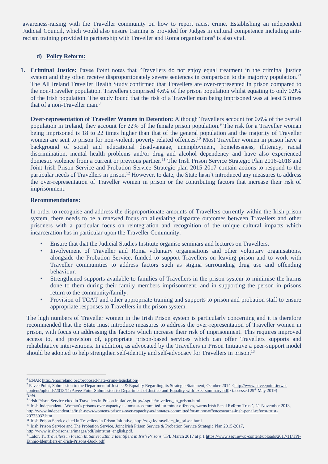awareness-raising with the Traveller community on how to report racist crime. Establishing an independent Judicial Council, which would also ensure training is provided for Judges in cultural competence including antiracism training provided in partnership with Traveller and Roma organisations<sup>6</sup> is also vital.

## **d) Policy Reform:**

**1. Criminal Justice:** Pavee Point notes that 'Travellers do not enjoy equal treatment in the criminal justice system and they often receive disproportionately severe sentences in comparison to the majority population.<sup>'7</sup> The All Ireland Traveller Health Study confirmed that Travellers are over-represented in prison compared to the non-Traveller population. Travellers comprised 4.6% of the prison population whilst equating to only 0.9% of the Irish population. The study found that the risk of a Traveller man being imprisoned was at least 5 times that of a non-Traveller man.<sup>8</sup>

**Over-representation of Traveller Women in Detention:** Although Travellers account for 0.6% of the overall population in Ireland, they account for 22% of the female prison population.<sup>9</sup> The risk for a Traveller woman being imprisoned is 18 to 22 times higher than that of the general population and the majority of Traveller women are sent to prison for non-violent, poverty related offences.<sup>10</sup> Most Traveller women in prison have a background of social and educational disadvantage, unemployment, homelessness, illiteracy, racial discrimination, mental health problems and/or drug and alcohol dependency and have also experienced domestic violence from a current or previous partner.<sup>11</sup> The Irish Prison Service Strategic Plan 2016-2018 and Joint Irish Prison Service and Probation Service Strategic plan 2015-2017 contain actions to respond to the particular needs of Travellers in prison.<sup>12</sup> However, to date, the State hasn't introduced any measures to address the over-representation of Traveller women in prison or the contributing factors that increase their risk of imprisonment.

#### **Recommendations:**

In order to recognise and address the disproportionate amounts of Travellers currently within the Irish prison system, there needs to be a renewed focus on alleviating disparate outcomes between Travellers and other prisoners with a particular focus on reintegration and recognition of the unique cultural impacts which incarceration has in particular upon the Traveller Community:

- Ensure that that the Judicial Studies Institute organise seminars and lectures on Travellers.
- Involvement of Traveller and Roma voluntary organisations and other voluntary organisations, alongside the Probation Service, funded to support Travellers on leaving prison and to work with Traveller communities to address factors such as stigma surrounding drug use and offending behaviour.
- Strengthened supports available to families of Travellers in the prison system to minimise the harms done to them during their family members imprisonment, and in supporting the person in prisons return to the community/family.
- Provision of TCAT and other appropriate training and supports to prison and probation staff to ensure appropriate responses to Travellers in the prison system.

The high numbers of Traveller women in the Irish Prison system is particularly concerning and it is therefore recommended that the State must introduce measures to address the over-representation of Traveller women in prison, with focus on addressing the factors which increase their risk of imprisonment. This requires improved access to, and provision of, appropriate prison-based services which can offer Travellers supports and rehabilitative interventions. In addition, as advocated by the Travellers in Prison Initiative a peer-support model should be adopted to help strengthen self-identity and self-advocacy for Travellers in prison.<sup>13</sup>

http://www.irishprisons.ie/images/pdf/jointstrat\_english.pdf.

 $\overline{a}$ <sup>6</sup> ENA[R http://enarireland.org/proposed-hate-crime-legislation/](http://enarireland.org/proposed-hate-crime-legislation/)

<sup>&</sup>lt;sup>7</sup> Pavee Point, Submission to the Department of Justice & Equality Regarding its Strategic Statement, October 2014 [<http://www.paveepoint.ie/wp](http://www.paveepoint.ie/wp-content/uploads/2013/11/Pavee-Point-Submission-to-Department-of-Justice-and-Equality-with-exec-summary.pdf)[content/uploads/2013/11/Pavee-Point-Submission-to-Department-of-Justice-and-Equality-with-exec-summary.pdf>](http://www.paveepoint.ie/wp-content/uploads/2013/11/Pavee-Point-Submission-to-Department-of-Justice-and-Equality-with-exec-summary.pdf) (accessed 29<sup>th</sup> May 2019) 8 *Ibid.*

<sup>9</sup> Irish Prison Service cited in Travellers in Prison Initiative, http://ssgt.ie/travellers\_in\_prison.html.

<sup>&</sup>lt;sup>10</sup> Irish Independent, 'Women's prisons over capacity as inmates committed for minor offences, warns Irish Penal Reform Trust', 21 November 2013, [http://www.independent.ie/irish-news/womens-prisons-over-capacity-as-inmates-committedfor-minor-offenceswarns-irish-penal-reform-trust-](http://www.independent.ie/irish-news/womens-prisons-over-capacity-as-inmates-committedfor-minor-offenceswarns-irish-penal-reform-trust-29773032.htm)[29773032.htm](http://www.independent.ie/irish-news/womens-prisons-over-capacity-as-inmates-committedfor-minor-offenceswarns-irish-penal-reform-trust-29773032.htm)

<sup>&</sup>lt;sup>11</sup> Irish Prison Service cited in Travellers in Prison Initiative, http://ssgt.ie/travellers\_in\_prison.html.

<sup>&</sup>lt;sup>12</sup> Irish Prison Service and The Probation Service, Joint Irish Prison Service & Probation Service Strategic Plan 2015-2017,

<sup>13</sup>Lalor, T., *Travellers in Prison Initiative: Ethnic Identifiers in Irish Prisons*, TPI, March 2017 at p.[1 https://www.ssgt.ie/wp-content/uploads/2017/11/TPI-](https://www.ssgt.ie/wp-content/uploads/2017/11/TPI-Ethnic-Identifiers-in-Irish-Prisons-Book.pdf)[Ethnic-Identifiers-in-Irish-Prisons-Book.pdf](https://www.ssgt.ie/wp-content/uploads/2017/11/TPI-Ethnic-Identifiers-in-Irish-Prisons-Book.pdf)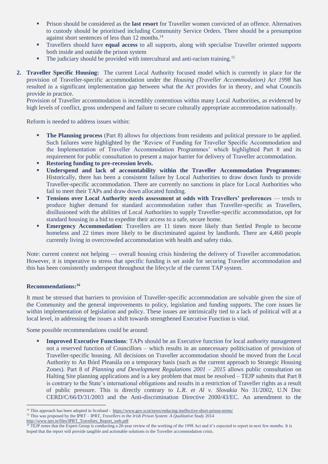- Prison should be considered as the **last resort** for Traveller women convicted of an offence. Alternatives to custody should be prioritised including Community Service Orders. There should be a presumption against short sentences of less than 12 months.<sup>14</sup>
- Travellers should have **equal access** to all supports, along with specialise Traveller oriented supports both inside and outside the prison system
- **•** The judiciary should be provided with intercultural and anti-racism training.<sup>15</sup>
- **2. Traveller Specific Housing:** The current Local Authority focused model which is currently in place for the provision of Traveller-specific accommodation under the *Housing (Traveller Accommodation) Act 1998* has resulted in a significant implementation gap between what the *Act* provides for in theory, and what Councils provide in practice.

Provision of Traveller accommodation is incredibly contentious within many Local Authorities, as evidenced by high levels of conflict, gross underspend and failure to secure culturally appropriate accommodation nationally.

Reform is needed to address issues within:

- **The Planning process** (Part 8) allows for objections from residents and political pressure to be applied. Such failures were highlighted by the 'Review of Funding for Traveller Specific Accommodation and the Implementation of Traveller Accommodation Programmes' which highlighted Part 8 and its requirement for public consultation to present a major barrier for delivery of Traveller accommodation.
- **Restoring funding to pre-recession levels.**
- **Underspend and lack of accountability within the Traveller Accommodation Programmes**: Historically, there has been a consistent failure by Local Authorities to draw down funds to provide Traveller-specific accommodation. There are currently no sanctions in place for Local Authorities who fail to meet their TAPs and draw down allocated funding.
- Tensions over Local Authority needs assessment at odds with Travellers' preferences tends to produce higher demand for standard accommodation rather than Traveller-specific as Travellers, disillusioned with the abilities of Local Authorities to supply Traveller-specific accommodation, opt for standard housing in a bid to expedite their access to a safe, secure home.
- **Emergency Accommodation**: Travellers are 11 times more likely than Settled People to become homeless and 22 times more likely to be discriminated against by landlords. There are 4,460 people currently living in overcrowded accommodation with health and safety risks.

Note: current context not helping — overall housing crisis hindering the delivery of Traveller accommodation. However, it is imperative to stress that specific funding is set aside for securing Traveller accommodation and this has been consistently underspent throughout the lifecycle of the current TAP system.

#### **Recommendations: 16**

 $\overline{a}$ 

It must be stressed that barriers to provision of Traveller-specific accommodation are solvable given the size of the Community and the general improvements to policy, legislation and funding supports. The core issues lie within implementation of legislation and policy. These issues are intrinsically tied to a lack of political will at a local level, in addressing the issues a shift towards strengthened Executive Function is vital.

Some possible recommendations could be around:

**Improved Executive Functions:** TAPs should be an Executive function for local authority management not a reserved function of Councillors – which results in an unnecessary politicisation of provision of Traveller-specific housing. All decisions on Traveller accommodation should be moved from the Local Authority to An Bórd Pleanála on a temporary basis (such as the current approach to Strategic Housing Zones). Part 8 of *Planning and Development Regulations 2001 – 2015* allows public consultation on Halting Site planning applications and is a key problem that must be resolved – TEJP submits that Part 8 is contrary to the State's international obligations and results in a restriction of Traveller rights as a result of public pressure. This is directly contrary to *L.R. et Al v. Slovakia* No 31/2002, U.N Doc CERD/C/66/D/31/2003 and the Anti-discrimination Directive 2000/43/EC. An amendment to the

<sup>15</sup> This was proposed by the IPRT – IPRT, *Travellers in the Irish Prison System: A Qualitative Study* 2014

<sup>&</sup>lt;sup>14</sup> This approach has been adopted in Scotland -<https://www.gov.scot/news/reducing-ineffective-short-prison-terms/>

[http://www.iprt.ie/files/IPRT\\_Travellers\\_Report\\_web.pdf](http://www.iprt.ie/files/IPRT_Travellers_Report_web.pdf)

<sup>&</sup>lt;sup>16</sup> TEJP notes that the Expert Group is conducting a 20-year review of the working of the 1998 Act and it's expected to report in next few months. It is hoped that the report will provide tangible and actionable solutions to the Traveller accommodation crisis.